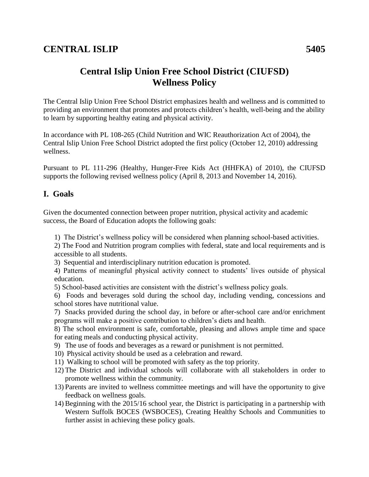# **Central Islip Union Free School District (CIUFSD) Wellness Policy**

The Central Islip Union Free School District emphasizes health and wellness and is committed to providing an environment that promotes and protects children's health, well-being and the ability to learn by supporting healthy eating and physical activity.

In accordance with PL 108-265 (Child Nutrition and WIC Reauthorization Act of 2004), the Central Islip Union Free School District adopted the first policy (October 12, 2010) addressing wellness.

Pursuant to PL 111-296 (Healthy, Hunger-Free Kids Act (HHFKA) of 2010), the CIUFSD supports the following revised wellness policy (April 8, 2013 and November 14, 2016).

### **I. Goals**

Given the documented connection between proper nutrition, physical activity and academic success, the Board of Education adopts the following goals:

1) The District's wellness policy will be considered when planning school-based activities.

2) The Food and Nutrition program complies with federal, state and local requirements and is accessible to all students.

3) Sequential and interdisciplinary nutrition education is promoted.

4) Patterns of meaningful physical activity connect to students' lives outside of physical education.

5) School-based activities are consistent with the district's wellness policy goals.

6) Foods and beverages sold during the school day, including vending, concessions and school stores have nutritional value.

7) Snacks provided during the school day, in before or after-school care and/or enrichment programs will make a positive contribution to children's diets and health.

8) The school environment is safe, comfortable, pleasing and allows ample time and space for eating meals and conducting physical activity.

9) The use of foods and beverages as a reward or punishment is not permitted.

10) Physical activity should be used as a celebration and reward.

- 11) Walking to school will be promoted with safety as the top priority.
- 12) The District and individual schools will collaborate with all stakeholders in order to promote wellness within the community.
- 13) Parents are invited to wellness committee meetings and will have the opportunity to give feedback on wellness goals.
- 14)Beginning with the 2015/16 school year, the District is participating in a partnership with Western Suffolk BOCES (WSBOCES), Creating Healthy Schools and Communities to further assist in achieving these policy goals.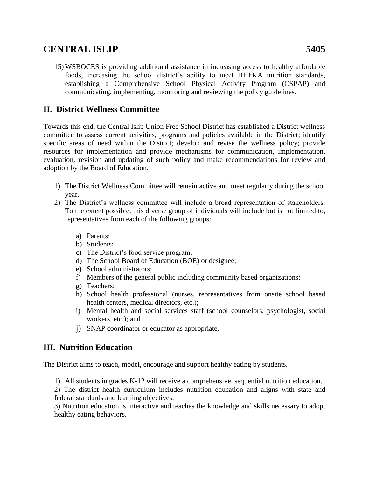15) WSBOCES is providing additional assistance in increasing access to healthy affordable foods, increasing the school district's ability to meet HHFKA nutrition standards, establishing a Comprehensive School Physical Activity Program (CSPAP) and communicating, implementing, monitoring and reviewing the policy guidelines.

### **II. District Wellness Committee**

Towards this end, the Central Islip Union Free School District has established a District wellness committee to assess current activities, programs and policies available in the District; identify specific areas of need within the District; develop and revise the wellness policy; provide resources for implementation and provide mechanisms for communication, implementation, evaluation, revision and updating of such policy and make recommendations for review and adoption by the Board of Education.

- 1) The District Wellness Committee will remain active and meet regularly during the school year.
- 2) The District's wellness committee will include a broad representation of stakeholders. To the extent possible, this diverse group of individuals will include but is not limited to, representatives from each of the following groups:
	- a) Parents;
	- b) Students;
	- c) The District's food service program;
	- d) The School Board of Education (BOE) or designee;
	- e) School administrators;
	- f) Members of the general public including community based organizations;
	- g) Teachers;
	- h) School health professional (nurses, representatives from onsite school based health centers, medical directors, etc.);
	- i) Mental health and social services staff (school counselors, psychologist, social workers, etc.); and
	- j) SNAP coordinator or educator as appropriate.

### **III. Nutrition Education**

The District aims to teach, model, encourage and support healthy eating by students.

1) All students in grades K-12 will receive a comprehensive, sequential nutrition education.

2) The district health curriculum includes nutrition education and aligns with state and federal standards and learning objectives.

3) Nutrition education is interactive and teaches the knowledge and skills necessary to adopt healthy eating behaviors.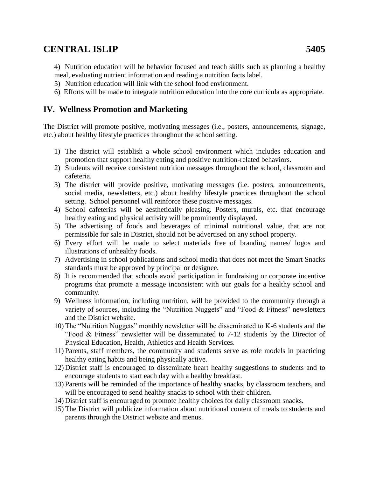4) Nutrition education will be behavior focused and teach skills such as planning a healthy meal, evaluating nutrient information and reading a nutrition facts label.

- 5) Nutrition education will link with the school food environment.
- 6) Efforts will be made to integrate nutrition education into the core curricula as appropriate.

### **IV. Wellness Promotion and Marketing**

The District will promote positive, motivating messages (i.e., posters, announcements, signage, etc.) about healthy lifestyle practices throughout the school setting.

- 1) The district will establish a whole school environment which includes education and promotion that support healthy eating and positive nutrition-related behaviors.
- 2) Students will receive consistent nutrition messages throughout the school, classroom and cafeteria.
- 3) The district will provide positive, motivating messages (i.e. posters, announcements, social media, newsletters, etc.) about healthy lifestyle practices throughout the school setting. School personnel will reinforce these positive messages.
- 4) School cafeterias will be aesthetically pleasing. Posters, murals, etc. that encourage healthy eating and physical activity will be prominently displayed.
- 5) The advertising of foods and beverages of minimal nutritional value, that are not permissible for sale in District, should not be advertised on any school property.
- 6) Every effort will be made to select materials free of branding names/ logos and illustrations of unhealthy foods.
- 7) Advertising in school publications and school media that does not meet the Smart Snacks standards must be approved by principal or designee.
- 8) It is recommended that schools avoid participation in fundraising or corporate incentive programs that promote a message inconsistent with our goals for a healthy school and community.
- 9) Wellness information, including nutrition, will be provided to the community through a variety of sources, including the "Nutrition Nuggets" and "Food & Fitness" newsletters and the District website.
- 10) The "Nutrition Nuggets" monthly newsletter will be disseminated to K-6 students and the "Food & Fitness" newsletter will be disseminated to 7-12 students by the Director of Physical Education, Health, Athletics and Health Services.
- 11) Parents, staff members, the community and students serve as role models in practicing healthy eating habits and being physically active.
- 12) District staff is encouraged to disseminate heart healthy suggestions to students and to encourage students to start each day with a healthy breakfast.
- 13) Parents will be reminded of the importance of healthy snacks, by classroom teachers, and will be encouraged to send healthy snacks to school with their children.
- 14) District staff is encouraged to promote healthy choices for daily classroom snacks.
- 15) The District will publicize information about nutritional content of meals to students and parents through the District website and menus.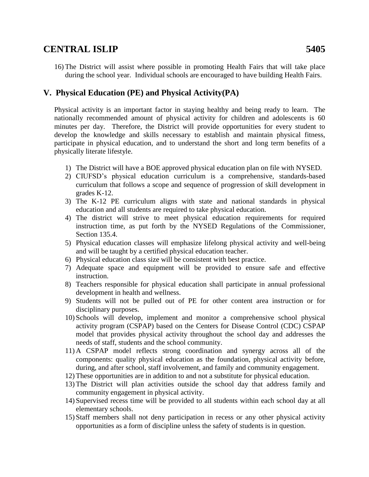16) The District will assist where possible in promoting Health Fairs that will take place during the school year. Individual schools are encouraged to have building Health Fairs.

### **V. Physical Education (PE) and Physical Activity(PA)**

Physical activity is an important factor in staying healthy and being ready to learn. The nationally recommended amount of physical activity for children and adolescents is 60 minutes per day. Therefore, the District will provide opportunities for every student to develop the knowledge and skills necessary to establish and maintain physical fitness, participate in physical education, and to understand the short and long term benefits of a physically literate lifestyle.

- 1) The District will have a BOE approved physical education plan on file with NYSED.
- 2) CIUFSD's physical education curriculum is a comprehensive, standards-based curriculum that follows a scope and sequence of progression of skill development in grades K-12.
- 3) The K-12 PE curriculum aligns with state and national standards in physical education and all students are required to take physical education.
- 4) The district will strive to meet physical education requirements for required instruction time, as put forth by the NYSED Regulations of the Commissioner, Section 135.4.
- 5) Physical education classes will emphasize lifelong physical activity and well-being and will be taught by a certified physical education teacher.
- 6) Physical education class size will be consistent with best practice.
- 7) Adequate space and equipment will be provided to ensure safe and effective instruction.
- 8) Teachers responsible for physical education shall participate in annual professional development in health and wellness.
- 9) Students will not be pulled out of PE for other content area instruction or for disciplinary purposes.
- 10) Schools will develop, implement and monitor a comprehensive school physical activity program (CSPAP) based on the Centers for Disease Control (CDC) CSPAP model that provides physical activity throughout the school day and addresses the needs of staff, students and the school community.
- 11) A CSPAP model reflects strong coordination and synergy across all of the components: quality physical education as the foundation, physical activity before, during, and after school, staff involvement, and family and community engagement.
- 12) These opportunities are in addition to and not a substitute for physical education.
- 13) The District will plan activities outside the school day that address family and community engagement in physical activity.
- 14) Supervised recess time will be provided to all students within each school day at all elementary schools.
- 15) Staff members shall not deny participation in recess or any other physical activity opportunities as a form of discipline unless the safety of students is in question.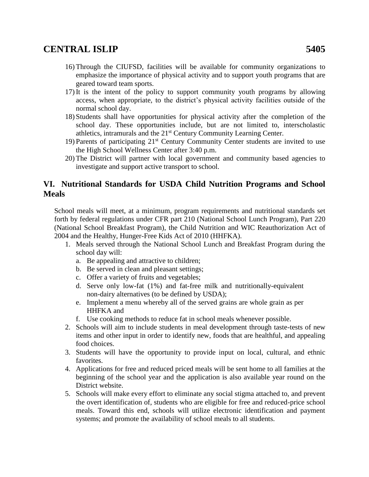- 16) Through the CIUFSD, facilities will be available for community organizations to emphasize the importance of physical activity and to support youth programs that are geared toward team sports.
- 17) It is the intent of the policy to support community youth programs by allowing access, when appropriate, to the district's physical activity facilities outside of the normal school day.
- 18) Students shall have opportunities for physical activity after the completion of the school day. These opportunities include, but are not limited to, interscholastic athletics, intramurals and the 21<sup>st</sup> Century Community Learning Center.
- 19) Parents of participating  $21<sup>st</sup>$  Century Community Center students are invited to use the High School Wellness Center after 3:40 p.m.
- 20) The District will partner with local government and community based agencies to investigate and support active transport to school.

### **VI. Nutritional Standards for USDA Child Nutrition Programs and School Meals**

School meals will meet, at a minimum, program requirements and nutritional standards set forth by federal regulations under CFR part 210 (National School Lunch Program), Part 220 (National School Breakfast Program), the Child Nutrition and WIC Reauthorization Act of 2004 and the Healthy, Hunger-Free Kids Act of 2010 (HHFKA).

- 1. Meals served through the National School Lunch and Breakfast Program during the school day will:
	- a. Be appealing and attractive to children;
	- b. Be served in clean and pleasant settings;
	- c. Offer a variety of fruits and vegetables;
	- d. Serve only low-fat (1%) and fat-free milk and nutritionally-equivalent non-dairy alternatives (to be defined by USDA);
	- e. Implement a menu whereby all of the served grains are whole grain as per HHFKA and
	- f. Use cooking methods to reduce fat in school meals whenever possible.
- 2. Schools will aim to include students in meal development through taste-tests of new items and other input in order to identify new, foods that are healthful, and appealing food choices.
- 3. Students will have the opportunity to provide input on local, cultural, and ethnic favorites.
- 4. Applications for free and reduced priced meals will be sent home to all families at the beginning of the school year and the application is also available year round on the District website.
- 5. Schools will make every effort to eliminate any social stigma attached to, and prevent the overt identification of, students who are eligible for free and reduced-price school meals. Toward this end, schools will utilize electronic identification and payment systems; and promote the availability of school meals to all students.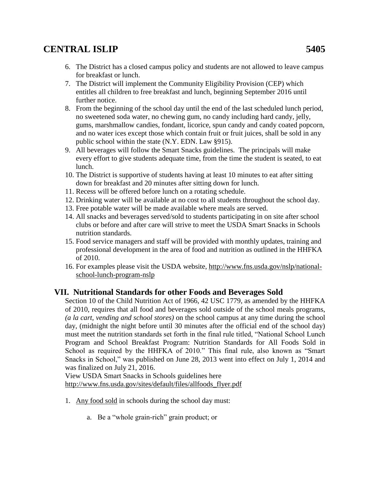- 6. The District has a closed campus policy and students are not allowed to leave campus for breakfast or lunch.
- 7. The District will implement the Community Eligibility Provision (CEP) which entitles all children to free breakfast and lunch, beginning September 2016 until further notice.
- 8. From the beginning of the school day until the end of the last scheduled lunch period, no sweetened soda water, no chewing gum, no candy including hard candy, jelly, gums, marshmallow candies, fondant, licorice, spun candy and candy coated popcorn, and no water ices except those which contain fruit or fruit juices, shall be sold in any public school within the state (N.Y. EDN. Law §915).
- 9. All beverages will follow the Smart Snacks guidelines. The principals will make every effort to give students adequate time, from the time the student is seated, to eat lunch.
- 10. The District is supportive of students having at least 10 minutes to eat after sitting down for breakfast and 20 minutes after sitting down for lunch.
- 11. Recess will be offered before lunch on a rotating schedule.
- 12. Drinking water will be available at no cost to all students throughout the school day.
- 13. Free potable water will be made available where meals are served.
- 14. All snacks and beverages served/sold to students participating in on site after school clubs or before and after care will strive to meet the USDA Smart Snacks in Schools nutrition standards.
- 15. Food service managers and staff will be provided with monthly updates, training and professional development in the area of food and nutrition as outlined in the HHFKA of 2010.
- 16. For examples please visit the USDA website, [http://www.fns.usda.gov/nslp/national](http://www.fns.usda.gov/nslp/national-school-lunch-program-nslp)[school-lunch-program-nslp](http://www.fns.usda.gov/nslp/national-school-lunch-program-nslp)

#### **VII. Nutritional Standards for other Foods and Beverages Sold**

Section 10 of the Child Nutrition Act of 1966, 42 USC 1779, as amended by the HHFKA of 2010, requires that all food and beverages sold outside of the school meals programs, *(a la cart, vending and school stores)* on the school campus at any time during the school day, (midnight the night before until 30 minutes after the official end of the school day) must meet the nutrition standards set forth in the final rule titled, "National School Lunch Program and School Breakfast Program: Nutrition Standards for All Foods Sold in School as required by the HHFKA of 2010." This final rule, also known as "Smart Snacks in School," was published on June 28, 2013 went into effect on July 1, 2014 and was finalized on July 21, 2016.

View USDA Smart Snacks in Schools guidelines here [http://www.fns.usda.gov/sites/default/files/allfoods\\_flyer.pdf](http://www.fns.usda.gov/sites/default/files/allfoods_flyer.pdf)

- 1. Any food sold in schools during the school day must:
	- a. Be a "whole grain-rich" grain product; or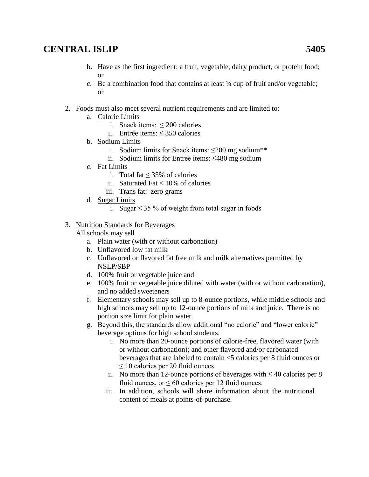- b. Have as the first ingredient: a fruit, vegetable, dairy product, or protein food; or
- c. Be a combination food that contains at least  $\frac{1}{4}$  cup of fruit and/or vegetable; or
- 2. Foods must also meet several nutrient requirements and are limited to:
	- a. Calorie Limits
		- i. Snack items:  $\leq 200$  calories
		- ii. Entrée items: ≤ 350 calories
	- b. Sodium Limits
		- i. Sodium limits for Snack items: ≤200 mg sodium\*\*
		- ii. Sodium limits for Entree items: ≤480 mg sodium
	- c. Fat Limits
		- i. Total fat ≤ 35% of calories
		- ii. Saturated Fat  $< 10\%$  of calories
		- iii. Trans fat: zero grams
	- d. Sugar Limits
		- i. Sugar  $\leq$  35 % of weight from total sugar in foods
- 3. Nutrition Standards for Beverages

All schools may sell

- a. Plain water (with or without carbonation)
- b. Unflavored low fat milk
- c. Unflavored or flavored fat free milk and milk alternatives permitted by NSLP/SBP
- d. 100% fruit or vegetable juice and
- e. 100% fruit or vegetable juice diluted with water (with or without carbonation), and no added sweeteners
- f. Elementary schools may sell up to 8-ounce portions, while middle schools and high schools may sell up to 12-ounce portions of milk and juice. There is no portion size limit for plain water.
- g. Beyond this, the standards allow additional "no calorie" and "lower calorie" beverage options for high school students.
	- i. No more than 20-ounce portions of calorie-free, flavored water (with or without carbonation); and other flavored and/or carbonated beverages that are labeled to contain <5 calories per 8 fluid ounces or  $\leq$  10 calories per 20 fluid ounces.
	- ii. No more than 12-ounce portions of beverages with  $\leq 40$  calories per 8 fluid ounces, or  $\leq 60$  calories per 12 fluid ounces.
	- iii. In addition, schools will share information about the nutritional content of meals at points-of-purchase.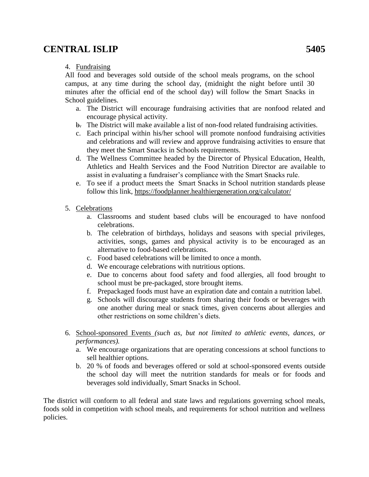#### 4. Fundraising

All food and beverages sold outside of the school meals programs, on the school campus, at any time during the school day, (midnight the night before until 30 minutes after the official end of the school day) will follow the Smart Snacks in School guidelines.

- a. The District will encourage fundraising activities that are nonfood related and encourage physical activity.
- b. The District will make available a list of non-food related fundraising activities.
- c. Each principal within his/her school will promote nonfood fundraising activities and celebrations and will review and approve fundraising activities to ensure that they meet the Smart Snacks in Schools requirements.
- d. The Wellness Committee headed by the Director of Physical Education, Health, Athletics and Health Services and the Food Nutrition Director are available to assist in evaluating a fundraiser's compliance with the Smart Snacks rule.
- e. To see if a product meets the Smart Snacks in School nutrition standards please follow this link,<https://foodplanner.healthiergeneration.org/calculator/>
- 5. Celebrations
	- a. Classrooms and student based clubs will be encouraged to have nonfood celebrations.
	- b. The celebration of birthdays, holidays and seasons with special privileges, activities, songs, games and physical activity is to be encouraged as an alternative to food-based celebrations.
	- c. Food based celebrations will be limited to once a month.
	- d. We encourage celebrations with nutritious options.
	- e. Due to concerns about food safety and food allergies, all food brought to school must be pre-packaged, store brought items.
	- f. Prepackaged foods must have an expiration date and contain a nutrition label.
	- g. Schools will discourage students from sharing their foods or beverages with one another during meal or snack times, given concerns about allergies and other restrictions on some children's diets.
- 6. School-sponsored Events *(such as, but not limited to athletic events, dances, or performances).*
	- a. We encourage organizations that are operating concessions at school functions to sell healthier options.
	- b. 20 % of foods and beverages offered or sold at school-sponsored events outside the school day will meet the nutrition standards for meals or for foods and beverages sold individually, Smart Snacks in School.

The district will conform to all federal and state laws and regulations governing school meals, foods sold in competition with school meals, and requirements for school nutrition and wellness policies.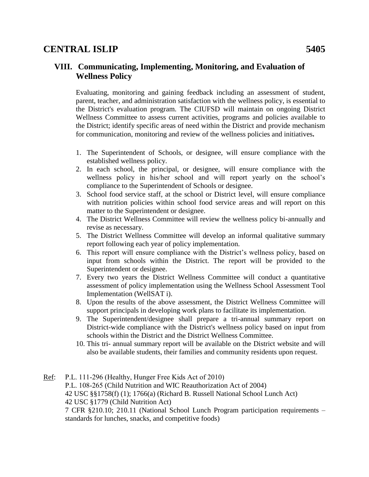#### **VIII. Communicating, Implementing, Monitoring, and Evaluation of Wellness Policy**

Evaluating, monitoring and gaining feedback including an assessment of student, parent, teacher, and administration satisfaction with the wellness policy, is essential to the District's evaluation program. The CIUFSD will maintain on ongoing District Wellness Committee to assess current activities, programs and policies available to the District; identify specific areas of need within the District and provide mechanism for communication, monitoring and review of the wellness policies and initiatives**.**

- 1. The Superintendent of Schools, or designee, will ensure compliance with the established wellness policy.
- 2. In each school, the principal, or designee, will ensure compliance with the wellness policy in his/her school and will report yearly on the school's compliance to the Superintendent of Schools or designee.
- 3. School food service staff, at the school or District level, will ensure compliance with nutrition policies within school food service areas and will report on this matter to the Superintendent or designee.
- 4. The District Wellness Committee will review the wellness policy bi-annually and revise as necessary.
- 5. The District Wellness Committee will develop an informal qualitative summary report following each year of policy implementation.
- 6. This report will ensure compliance with the District's wellness policy, based on input from schools within the District. The report will be provided to the Superintendent or designee.
- 7. Every two years the District Wellness Committee will conduct a quantitative assessment of policy implementation using the Wellness School Assessment Tool Implementation (WellSAT i).
- 8. Upon the results of the above assessment, the District Wellness Committee will support principals in developing work plans to facilitate its implementation.
- 9. The Superintendent/designee shall prepare a tri-annual summary report on District-wide compliance with the District's wellness policy based on input from schools within the District and the District Wellness Committee.
- 10. This tri- annual summary report will be available on the District website and will also be available students, their families and community residents upon request.
- Ref: P.L. 111-296 (Healthy, Hunger Free Kids Act of 2010) P.L. 108-265 (Child Nutrition and WIC Reauthorization Act of 2004) 42 USC §§1758(f) (1); 1766(a) (Richard B. Russell National School Lunch Act) 42 USC §1779 (Child Nutrition Act) 7 CFR §210.10; 210.11 (National School Lunch Program participation requirements – standards for lunches, snacks, and competitive foods)